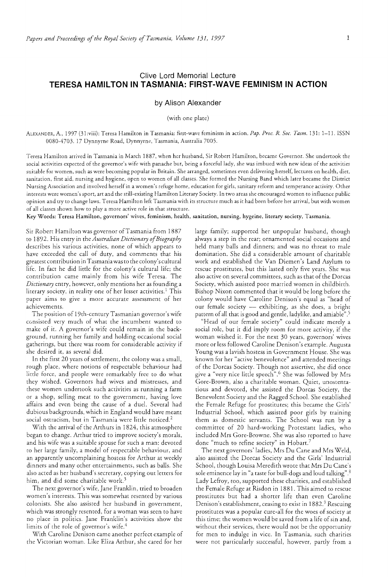# Clive Lord Memorial Lecture **TERESA HAMILTON IN TASMANIA: FIRST-WAVE FEMINISM IN ACTION**

### by Alison Alexander

(with one plate)

ALEXANDER, A., 1997 (31 :viii): Teresa Hamilton in Tasmania: first-wave feminism in action. *Pap. Proc. R Soc. Tasm.* 131: 1-11. ISSN 0080-4703, 17 Dynnyrne Road, Dynnyrne, Tasmania, Australia 7005.

Teresa Hamilton arrived in Tasmania in March 1887, when her husband, Sir Robert Hamilton, became Governor. She undertook the social activities expected of the governor's wife with panache but, being a forceful lady, she was imbued with new ideas of the activities suitable for women, such as were becoming popular in Britain. She arranged, sometimes even delivering herself, lectures on health, diet, sanitation, first aid, nursing and hygiene, open to women of all classes. She formed the Nursing Band which later became the District Nursing Association and involved herself in a women's refuge home, education for girls, sanitary reform and temperance activity. Other interests were women's sport, art and the still-existing Hamilton Literary Society. In two areas she encouraged women to influence public opinion and try to change laws. Teresa Hamilton left Tasmania with its structure much as it had been before her arrival, but with women of all classes shown how to playa more active tole in that structure.

Key Words: Teresa Hamilton, governors' wives, feminism, health, sanitation, nursing, hygeine, literary society, Tasmania.

Sir Robert Hamilton was governor of Tasmania from 1887 co 1892. His entry in the *Australian Dictionary of Biography*  describes his various activities, none of which appears to have exceeded the call of duty, and comments that his greatest contribution in Tasmania was to the colony's cultural life. In fact he did little for the colony's cultural life; the contribution came mainly from his wife Teresa. The *Dictionary* entry, however, only mentions her as founding a literary society, in reality one of her lesser activities.! This paper aims to give a more accurate assessment of her achievements.

The position of 19th-century Tasmanian governor's wife consisted very much of what the incumbent wanted to make of it. A governor's wife could remain in the background, running her family and holding occasional social gatherings, but there was room for considerable activity if she desired it, as several did.

In the first 20 years of settlement, the colony was a small, rough place, where notions of respectable behaviour had little force, and people were remarkably free to do what they wished. Governors had wives and mistresses, and these women undertook such activities as running a farm or a shop, selling meat to the government, having love affairs and even being the cause of a duel. Several had dubious backgrounds, which in England would have meant social ostracism, but in Tasmania were little noticed.<sup>2</sup>

With the arrival of the Arthurs in 1824, this atmosphere began to change. Arthur tried to improve society's morals, and his wife was a suitable spouse for such a man: devoted to her large family, a model of respectable behaviour, and an apparently uncomplaining hostess for Arthur at weekly dinners and many other entertainments, such as balls. She also acted as her husband's secretary, copying out letters for him, and did some charitable work.<sup>3</sup>

The next governor's wife, Jane Franklin, tried to broaden women's interests. This was somewhat resented by various colonists. She also assisted her husband in government, which was strongly resented, for a woman was seen to have no place in politics. Jane Franklin's activities show the limits of the role of governor's wife.<sup>4</sup>

With Caroline Denison came another perfect example of the Victorian woman. Like Eliza Arthur, she cared for her

large family; supported her unpopular husband, though always a step in the rear; ornamented social occasions and held many balls and dinners; and was no threat to male domination. She did a considerable amount of charitable work and established the Van Diemen's Land Asylum to rescue prostitutes, but this lasted only five years. She was also active on several committees, such as that of the Dorcas Society, which assisted poor married women in childbirth. Bishop Nixon commented that it would be long before the colony would have Caroline Denison's equal as "head of our female society - exhibiting, as she does, a bright pattern of all that is good and gentle, ladylike, and amiable".5

"Head of our female society" could indicate merely a social role, but it did imply room for more activity, if the woman wished it. For the next 30 years, governors' wives more or less followed Caroline Denison's example. Augusta Young was a lavish hostess in Government House. She was known for her "active benevolence" and attended meetings of the Dorcas Society. Though not assertive, she did once give a "very nice little speech".6 She was followed by Mrs Gore-Brown, also a charitable woman. Quiet, unostentatious and devoted, she assisted the Dorcas Society, the Benevolent Society and the Ragged School. She established the Female Refuge for prostitutes; this became the Girls' Industrial School, which assisted poor girls by training them as domestic servants. The School was run by a committee of 20 hard-working Protestant ladies, who included Mrs Gore-Browne. She was also reported to have done "much to refine society" in Hobart.<sup>7</sup>

The next governors' ladies, Mrs Du Cane and Mrs Weld, also assisted the Dorcas Society and the Girls' Industrial School, though Louisa Meredith wrote that Mrs Du Cane's sole eminence lay in "a taste for bull-dogs and loud talking".8 Lady Lefroy, too, supported these charities, and established the Female Refuge at Risdon in 1881. This aimed to rescue prostitutes but had a shorter life than even Caroline Denison's establishment, ceasing to exist in 1882.<sup>9</sup> Rescuing prostitutes was a popular cure-all for the woes of society at this time; the women would be saved from a life of sin and, without their services, there would not be the opportunity for men to indulge in vice. In Tasmania, such charities were not particularly successful, however, partly from a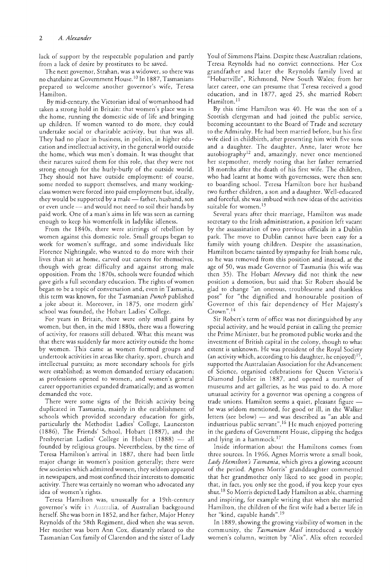lack of support by the respectable population and pardy from a lack of desire by prostitutes to be saved.

The next governor, Strahan, was a widower, so there was no chatelaine at Government House. 10 In 1887, Tasmanians prepared to welcome another governor's wife, Teresa Hamilton.

By mid-century, the Victorian ideal of womanhood had taken a strong hold in Britain: that women's place was in the home, running the domestic side of life and bringing up children. If women wanted to do more, they could undertake social or charitable activity, but that was all. They had no place in business, in politics, in higher education and intellectual activity, in the general world outside the home, which was men's domain. It was thought that their natures suited them for this role, that they were not strong enough for the hurly-burly of the outside world. They should not have outside employment: of course, some needed to support themselves, and many workingclass women were forced into paid employment but, ideally, they would be supported by a male - father, husband, son or even uncle - and would not need to soil their hands by paid work. One of a man's aims in life was seen as earning enough to keep his womenfolk in ladylike idleness.

From the 1840s, there were stirrings of rebellion by women against this domestic role. Small groups began to work for women's suffrage, and some individuals like Florence Nightingale, who wanted to do more with their lives than sit at home, carved out careers for themselves, though with great difficulty and against strong male opposition. From the *1870s,* schools were founded which gave girls a full secondary education. The rights of women began to be a topic of conversation and, even in Tasmania, this term was known, for the Tasmanian *Punch* published a joke about it. Moreover, in 1875, one modern girls' school was founded, the Hobart Ladies' College.

For years in Britain, there were only small gains by women, but then, in the mid 1880s, there was a flowering of activity, for reasons still debated. What this meant was that there was suddenly far more activity outside the home by women. This came as women formed groups and undertook activities in areas like charity, sport, church and intellectual pursuits; as more secondary schools for girls were established; as women demanded tertiary education; as professions opened to women, and women's general career opportunities expanded dramatically; and as women demanded the vote.

There were some signs of the British activity being duplicated in Tasmania, mainly in the establishment of schools which provided secondary education for girls, particularly the Methodist Ladies' College, Launceston (1886), The Friends' School, Hobart (1887), and the Presbyterian Ladies' College in Hobart (1888) - all founded by religious groups. Nevertheless, by the time of Teresa Hamilton's arrival in 1887, there had been little major change in women's position generally; there were few societies which admitted women, they seldom appeared in newspapers, and most confined their interests to domestic activity. There was certainly no woman who advocated any idea of women's rights.

Teresa Hamilton was, unusually for a 19th-century governor's wife in Australia, of Australian background herself. She was born in 1852, and her father, Major Henry Reynolds of the 58th Regiment, died when she was seven. Her mother was born Ann Cox, distantly related to the Tasmanian Cox family of Clarendon and the sister of Lady Youl of Simmons Plains. Despite these Australian relations, Teresa Reynolds had no convict connections. Her Cox grandfather and later the Reynolds family lived at "Hobartville", Richmond, New South Wales; from her later career, one can presume that Teresa received a good education, and in 1877, aged 25, she married Robert Hamilton.<sup>11</sup>

By this time Hamilton was 40. He was the son of a Scottish clergyman and had joined the public service, becoming accountant to the Board of Trade and secretary to the Admiralty. He had been married before, but his first wife died in childbirth, after presenting him with five sons and a daughter. The daughter, Anne, later wrote her autobiography<sup>12</sup> and, amazingly, never once mentioned her stepmother, merely noting that her father remarried 18 months after the death of his first wife. The children, who had learnt at home with governesses, were then sent to boarding school. Teresa Hamilton bore her husband two further children, a son and a daughter. Well-educated and forceful, she was imbued with new ideas of the activities suitable for women.<sup>13</sup>

Several years after their marriage, Hamilton was made secretary to the Irish administration, a position left vacant by the assassination of two previous officials in a Dublin park. The move to Dublin cannot have been easy for a family with young children. Despite the assassination, Hamilton became tainted by sympathy for Irish home rule, so he was removed from this position and instead, at the age of 50, was made Governor of Tasmania (his wife was then 35). The Hobart *Mercury* did not think the new position a demotion, but said that Sir Robert should be glad to change "an onerous, troublesome and thankless post" for "the dignified and honourable position of Governor of this fair dependency of Her Majesty's Crown".14

Sir Robert's term of office was not distinguished by any special activity, and he would persist in calling the premier the Prime Minister, but he promoted public works and the investment of British capital in the colony, though to what extent is unknown. He was president of the Royal Society (an activity which, according to his daughter, he enjoyed) $15$ , supported the Australasian Association for the Advancement of Science, organised celebrations for Queen Victoria's Diamond Jubilee in 1887, and opened a number of museums and art galleries, as he was paid to do. A more unusual activity for a governor was opening a congress of trade unions. Hamilton seems a quiet, pleasant figure he was seldom mentioned, for good or ill, in the Walker letters (see below)  $-$  and was described as "an able and industrious public servant".<sup>16</sup> He much enjoyed pottering in the gardens of Government House, clipping the hedges and lying in a hammock.<sup>17</sup>

Inside information about the Hamiltons comes from three sources. In 1966, Agnes Morris wrote a small book, Lady Hamilton's Tasmania, which gives a glowing account of the period. Agnes Morris' granddaughter commented that her grandmother only liked to see good in people; that, in fact, you only see the good, if you keep your eyes shut.<sup>18</sup> So Morris depicted Lady Hamilton as able, charming and inspiring, for example writing that when she married Hamilton, the children of the first wife had a better life in her "kind, capablc hands". 19

In 1889, showing the growing visibility of women in the community, the *Tasmanian Mail* introduced a weekly women's column, written by "Alix". Alix often recorded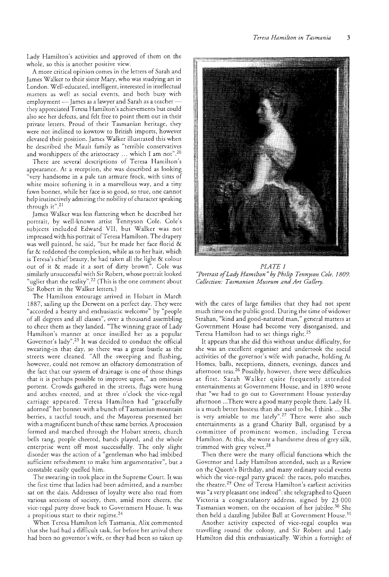Lady Hamilton's activities and approved of them on the whole, so this is another positive view.

A more critical opinion comes in the letters of Sarah and James Walker to their sister Mary, who was studying art in London. Well-educated, intelligent, interested in intellectual matters as well as social events, and both busy with employment - James as a lawyer and Sarah as a teacherthey appreciated Teresa Hamilton's achievements but could also see her defects, and felt free to point them out in their private letters. Proud of their Tasmanian heritage, they were not inclined to kowtow to British imports, however elevated their position. James Walker illustrated this when he described the Mault family as "terrible conservatives and worshippers of the aristocracy ... which I am not".<sup>20</sup>

There are several descriptions of Teresa Hamilton's appearance. At a reception, she was described as looking "very handsome in a pale tan armure frock, with tints of white moire softening it in a marvellous way, and a tiny fawn bonnet, while her face is so good, so true, one cannot help instinctively admiring the nobiliry of character speaking through it". 21

James Walker was less flattering when he described her portrait, by well-known artist Tennyson Cole. Cole's subjects included Edward VII, but Walker was not impressed with his portrait of Teresa Hamilton. The drapery was well painted, he said, "but he made her face florid & fat & reddened the complexion, while as to her hair, which is Teresa's chief beauty, he had taken all the light & colour out of it & made it a sort of dirty brown". Cole was similarly unsuccessful with Sir Robert, whose portrait looked "uglier than the reality".<sup>22</sup> (This is the one comment about Sir Robert in the Walker letters.)

The Hamilton entourage arrived in Hobart in March 1887, sailing up the Derwent on a perfect day. They were "accorded a hearry and enthusiastic welcome" by "people of all degrees and all classes", over a thousand assembling to cheer them as they landed. "The winning grace of Lady Hamilton's manner at once instilled her as a popular Governor's lady".23 It was decided to conduct the official swearing-in that day, so there was a great bustle as the streets were cleaned. "All the sweeping and flushing, however, could not remove an olfactory demonstration of the fact that our system of drainage is one of those things that it is perhaps possible to improve upon," an ominous portent. Crowds gathered in the streets, flags were hung and arches erected, and at three o'clock the vice-regal carriage appeared. Teresa Hamilton had "gracefully adorned" her bonnet with a bunch of Tasmanian mountain berries, a tactful touch, and the Mayoress presented her with a magnificent bunch of these same berries. A procession formed and marched through the Hobart streets, church bells rang, people cheered, bands played, and the whole enterprise went off most successfully. The only slight disorder was the action of a "gentleman who had imbibed sufficient refreshment to make him argumentative", but a constable easily quelled him.

The swearing-in took place in the Supreme Court. It was the first time that ladies had been admitted, and a number sat on the dais. Addresses of loyalty were also read from various sections of society, then, amid more cheers, the vice-regal party drove back to Government House. It was a propitious start to their regime.<sup>24</sup>

When Teresa Hamilton left Tasmania, Alix commented that she had had a difficult task, for before her arrival there had been no governor's wife, or they had been so taken up



*PLATE 1 "Portrait of Lady Hamilton" by Philip Tennyson Cole, 1809. Collection: Tasmanian Museum and Art Gallery.* 

with the cares of large families that they had not spent much time on the public good. During the time of widower Strahan, "kind and good-natured man," general matters at Government House had become very disorganised, and Teresa Hamilton had to set things right.25

It appears that she did this without undue difficulty, for she was an excellent organiser and undertook the social activities of the governor's wife with panache, holding At Homes, balls, receptions, dinners, evenings, dances and afternoon teas.<sup>26</sup> Possibly, however, there were difficulties at first. Sarah Walker quite frequently attended entertainments at Government House, and in 1890 wrote that "we had to go out to Government House yesterday afternoon ... There were a good many people there. Lady H. is a much better hostess than she used to be, I think ... She is very amiable to me lately".<sup>27</sup> There were also such entertainments as a grand Charity Ball, organised by a committee of prominent women, including Teresa Hamilton. At this, she wore a handsome dress of grey silk, trimmed with grey velvet.28

Then there were the many official functions which the Governor and Lady Hamilton attended, such as a Review on the Queen's Birthday, and many ordinary social events which the vice-regal parry graced: the races, polo matches, the theatre. 29 One of Teresa Hamilton's earliest activities was "a very pleasant one indeed": she telegraphed to Queen Victoria a congratulatory address, signed by 23 000 Tasmanian women, on the occasion of her jubilee.30 She then held a dazzling Jubilee Ball at Government House.<sup>31</sup>

Another activity expected of vice-regal couples was travelling round the colony, and Sir Robert and Lady Hamilton did this enthusiastically. Within a fortnight of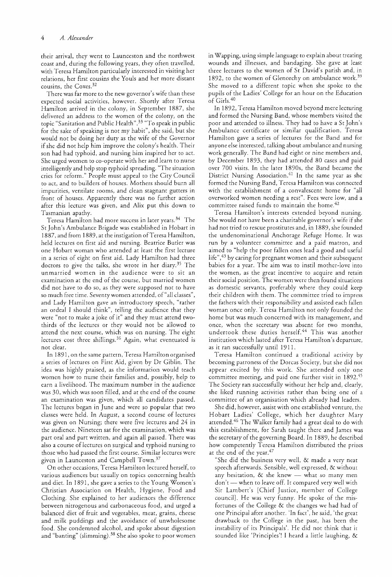their arrival, they went to Launceston and the northwest coast and, during the following years, they often travelled, with Teresa Hamilton particularly interested in visiting her relations, her first cousins the *Youls* and her more distant cousins, the Coxes. 32

There was far more to the new governor's wife than these expected social activities, however. Shortly after Teresa Hamilton arrived in the colony, in September 1887, she delivered an address to the women of the colony, on the topic "Sanitation and Public Health". 33 "To speak in public for the sake of speaking is nor my habit", she said, but she would not be doing her duty as the wife of the Governor if she did not help him improve the colony's health. Their son had had typhoid, and nursing him inspired her to act. She urged women to co-operate with her and learn to nurse intelligently and help stop typhoid spreading. "The situation cries for reform." People must appeal to the City Council to act, and to builders of houses. Mothers should burn all impurities, ventilate rooms, and clean stagnant gutters in front of houses. Apparently there was no further action after this lecture was given, and Alix put this down to Tasmanian apathy.

Teresa Hamilton had more success in later years. 34 The St John's Ambulance Brigade was established in Hobart in 1887, and from 1889, at the instigation of Teresa Hamilton, held lectures on first aid and nursing. Beatrice Butler was one Hobart woman who attended at least the first lecture in a series of eight on first aid. Lady Hamilton had three doctors to give the talks, she wrote in her diary.<sup>35</sup> The unmarried women in the audience were to sit an examination at the end of the course, but married women did not have to do *so,* as they were supposed not to have so much free time. Seventy women attended, of "all classes", and Lady Hamilton gave an introductory speech, "rather an ordeal I should think", telling the audience that they were "not to make a joke of it" and they must attend twothirds of the lectures or they would not be allowed to attend the next course, which was on nursing. The eight lectures cost three shillings.<sup>36</sup> Again, what eventuated is not clear.

In 1891, on the same pattern, Teresa Hamilton organised a series of lectures on First Aid, given by Dr Giblin. The idea was highly praised, as the information would teach women how to nurse their families and, possibly, help to earn a livelihood. The maximum number in the audience was 30, which was soon filled, and at the end of the course an examination was given, which all candidates passed. The lectures began in June and were so popular that two classes were held. In August, a second course of lectures was given on Nursing; there were five lectures and 24 in the audience. Nineteen sat for the examination, which was part oral and part written, and again all passed. There was also a course oflectures on surgical and typhoid nursing to those who had passed the first course. Similar lectures were given in Launceston and Campbell Town.<sup>37</sup>

On other occasions, Teresa Hamilton lectured herself, to various audiences but usually on topics concerning health and diet. In 1891, she gave a series to the Young Women's Christian Association on Health, Hygiene, Food and Clothing. She explained to her audiences the difference between nitrogenous and carbonaceous food, and urged a balanced diet of fruit and vegetables, meat, grains, cheese and milk puddings and the avoidance of unwholesome food. She condemned alcohol, and spoke about digestion and "banting" (slimming).38 She also spoke to poor women

in Wapping, using simple language to explain about treating wounds and illnesses, and bandaging. She gave at least three lectures to the women of St David's parish and, in 1892, to the women of Glenorchy on ambulance work.<sup>39</sup> She moved to a different topic when she spoke to the pupils of the Ladies' College for an hour on the Education of Girls. <sup>40</sup>

In 1892, Teresa Hamilton moved beyond mere lecturing and formed the Nursing Band, whose members visited the poor and attended to illness. They had to have a St John's Ambulance certificate or similar qualification. Teresa Hamilton gave a series of lectures for the Band and for anyone else interested, talking about ambulance and nursing work generally. The Band had eight or nine members and, by December 1893, they had attended 80 cases and paid over 700 visits. In the later 18905, the Band became the District Nursing Association.41 In the same year as she formed the Nursing Band, Teresa Hamilton was connected with the establishment of a convalescent home for "all overworked women needing a rest". Fees were low, and a committee raised funds to maintain the home.<sup>42</sup>

Teresa Hamilton's interests extended beyond nursing. She would not have been a charitable governor's wife if she had not tried to rescue prostitutes and, in 1889, she founded the undenominational Anchorage Refuge Home. It was run by a volunteer committee and a paid matron, and aimed to "help the poor fallen ones lead a good and useful life",<sup>43</sup> by caring for pregnant women and their subsequent babies for a year. The aim was to instil mother-love into the women, as the great incentive to acquire and retain their social position. The women were then found situations as domestic servants, preferably where they could keep their children with them. The committee tried to impress the fathers with their responsibility and assisted each fallen woman once only. Teresa Hamilton not only founded the home but was much concerned with its management, and once, when the secretary was absent for two months, undertook these duties herself.<sup>44</sup> This was another institution which lasted after Teresa Hamilton's departure, as it ran successfully until 1911.

Teresa Hamilton continued a traditional activity by becoming patroness of the Dorcas Society, but she did not appear excited by this work. She attended only one committee meeting, and paid one further visit in 1892.45 The Society ran successfully without her help and, clearly, she liked running activities rather than being one of a committee of an organisation which already had leaders.

She did, however, assist with one established venture, the Hobart Ladies' College, which her daughter Mary attended.46 The Walker family had a great deal to do with this establishment, for Sarah taught there and James was the secretary of the governing Board. In 1889, he described how competently Teresa Hamilton distributed the prizes at the end of the year.<sup>47</sup>

"She did the business very well, & made a very neat speech afterwards. Sensible, well expressed, & without any hesitation,  $\&$  she knew - what so many men don't - when to leave off. It compared very well with Sir Lambert's [Chief Justice, member of College council]. He was very funny. He spoke of the misfortunes of the College & the changes we had had of one Principal after another. 'In fact', he said, 'the great drawback to the College in the past, has been the instability of its Principals'. He did not think that it sounded like 'Principles'! I heard a little laughing, &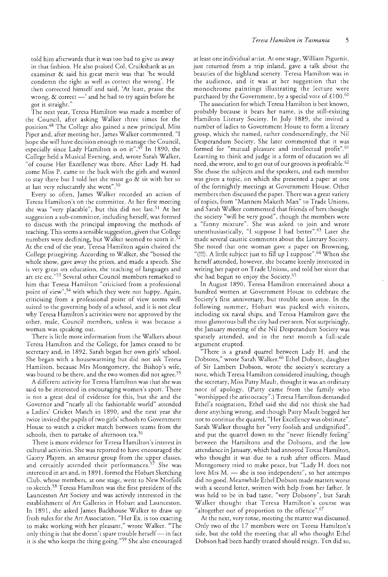told him afterwards that it was too bad to give us away in that fashion. He also praised Col. Cruikshank as an examiner & said his great merit was that 'he would condemn the right as well as correct the wrong'. He then corrected himself and said, 'At least, praise the wrong,  $\&$  correct  $\frac{1}{1}$  and he had to try again before he got it straight."

The next year, Teresa Hamilton was made a member of the Council, after asking Walker three times for the position.48 The College also gained a new principal, Miss Piper and, after meeting her, James Walker commented, "I hope she will have decision enough to manage the Council, especially since Lady Hamilton is on it".<sup>49</sup> In 1890, the College held a Musical Evening, and, wrote Sarah Walker, "of course Her Excellency was there. After Lady H. had come Miss P. came to the back with the girls and wanted to stay there but I told her she must go & sit with her so at last very reluctantly she went".<sup>50</sup>

Every so often, James Walker recorded an action of Teresa Hamilton's on the committee. At her first meeting she was "very placable", but this did not last.<sup>51</sup> At her suggestion a sub-committee, including herself, was formed to discuss with the principal improving the methods of teaching. This seems a sensible suggestion, given that College numbers were declining, but Walker seemed to scorn it. At the end of the year, Teresa Hamilton again chaired the College prizegiving. According to Walker, she "bossed the whole show, gave away the prizes, and made a speech. She is very great on education, the teaching of languages and art etc etc. "53 Several other Council members remarked to him that Teresa Hamilton "criticised from a professional point of view",<sup>54</sup> with which they were not happy. Again, criticising from a professional point of view seems well suited to the governing body of a school, and it is not clear why Teresa Hamilton's activities were not approved by the other, male, Council members, unless it was because a woman was speaking out.

There is little more information from the Walkers about Teresa Hamilton and the College, for James ceased to be secretary and, in 1892, Sarah began her own girls' school. She began with a housewarming but did not ask Teresa Hamilton, because Mrs Montgomery, the Bishop's wife, was bound to be there, and the rwo women did not agree. <sup>55</sup>

A different activity for Teresa Hamilton was that she was said to be interested in encouraging women's sport. There is not a great deal of evidence for this, but she and the Governor and "nearly all the fashionable world" attended a Ladies' Cricket Match in 1890, and the next year she twice invited the pupils of rwo girls' schools to Government House to watch a cricket match between teams from the schools, then to partake of afternoon tea.<sup>56</sup>

There is more evidence for Teresa Hamilton's interest in cultural activities. She was reported to have encouraged the Gaiety Players, an amateur group from the upper classes, and certainly attended their performances.<sup>57</sup> She was interested in art and, in 1891, formed the Hobart Sketching Club, whose members, at one stage, went to New Norfolk to sketch. 58 Teresa Hamilton was the first president of the Launceston Art Society and was actively interested in the establishment of Art Galleries in Hobart and Launceston. In 1891, she asked James Backhouse Walker to draw up fresh rules for the Art Association. "Her Ex. is too exacting to make working with her pleasant," wrote Walker. ''The only thing is that she doesn't spare trouble herself - in fact it is she who keeps the thing going. "59 She also encouraged at least one individual artist. At one stage, William Piguenit, just returned from a trip inland, gave a talk about the beauties of the highland scenery. Teresa Hamilton was in the audience, and it was at her suggestion that the monochrome paintings illustrating the lecture were purchased by the Government, by a special vote of  $\pounds 100.^{60}$ 

The association for which Teresa Hamilton is best known, probably because it bears her name, is the still-existing Hamilton Literary Society. In July 1889, she invited a number of ladies to Government House to form a literary group, which she named, rather condescendingly, the Nil Desperandum Society. She later commented that it was formed for "mutual pleasure and intellectual profit".<sup>61</sup> Learning to think and judge is a form of education we all need, she wrote, and to get out of our grooves is profitable.<sup>62</sup> She chose the subjects and the speakers, and each member was given a topic, on which she presented a paper at one of the fortnightly meetings at Government House. Other members then discussed the paper. There was a great variety of topics, from "Manners Maketh Man" to Trade Unions, and Sarah Walker commented that friends of hers thought the society "will be very good", though the members were a "funny mixture". She was asked to join and wrote unenthusiastically, "I suppose I had better".<sup>63</sup> Later she made several caustic comments about the Literary Society. She noted that one woman gave a paper on Browning, "(!!!). A little subject just to fill up I suppose".64 When she herself attended, however, she became keenly interested in writing her paper on Trade Unions, and told her sister that she had begun to enjoy the Society.65

In August 1890, Teresa Hamilton entertained about a hundred women at Government House to celebrate the Society's first anniversary, but trouble soon arose. In the following summer, Hobart was packed with visitors, including six naval ships, and Teresa Hamilton gave the most glamorous ball the city had ever seen. Not surprisingly, the January meeting of the Nil Desperandum Society was sparsely attended, and in the next month a full-scale argument erupted.

"There is a grand quarrel berween Lady H. and the Dobsons," wrote Sarah Walker. 66 Ethel Dobson, daughter of Sir Lambert Dobson, wrote the society's secretary a note, which Teresa Hamilton considered insulting, though the secretary, Miss Patty Mault, thought it was an ordinary note of apology. (Patty came from the family who "worshipped the aristocracy".) Teresa Hamilton demanded Ethel's resignation, Ethel said she did not think she had done anything wrong, and though Patty Mault begged her not to continue the quarrel, "Her Excellency was obstinate". Sarah Walker thought her "very foolish and undignified", and put the quarrel down to the "never friendly feeling" between the Hamiltons and the Dobsons, and the low attendance in January, which had annoyed Teresa Hamilton, who thought it was due to a rush after officers. Maud Montgomery tried to make peace, but "Lady H. does not love Mrs  $M.$  - she is too independent", so her attempts did no good. Meanwhile Ethel Dobson made matters worse with a second letter, written with help from her father. It was held to be in bad taste, "very Dobsony", but Sarah Walker thought that Teresa Hamilton's course was "altogether out of proportion to the offence".<sup>67</sup>

At the next, very tense, meeting the matter was discussed. Only two of the 17 members were on Teresa Hamilton's side, but she told the meeting that all who thought Ethel Dobson had been hardly treated should resign. Ten did so,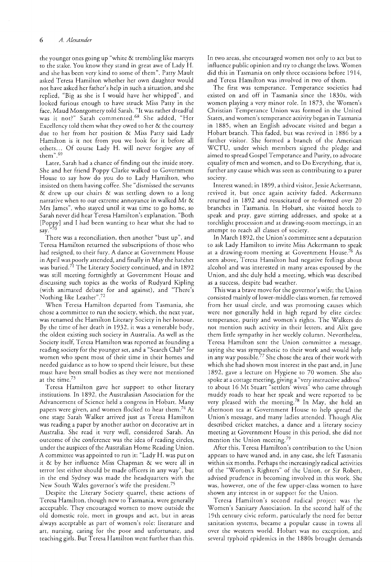the younger ones going up "white & trembling like martyrs to the stake. You know they stand in great awe of Lady H. and she has been very kind to some of them". Patty Mault asked Teresa Hamilton whether her own daughter would not have asked her father's help in such a situation, and she replied, "Big as she is I would have her whipped", and looked furious enough to have struck Miss Patty in the face, Maud Montgomery told Sarah. "It was rather dreadful was it not?" Sarah commented.<sup>68</sup> She added, "Her Excellency told them what they owed to her & the courtesy due to her from her position & Miss Patty said Lady Hamilton is it not from you we look for it before al1 others... Of course Lady H. will never forgive any of rhem".G9

Later, Sarah had a chance of finding out the inside story. She and her friend Poppy Clarke walked to Government House to say how do you do to Lady Hamilton, who insisted on them having coffee. She "dismissed the servants & drew up our chairs & was settling down to a long narrative when to our extreme annoyance in walked Mr & Mrs James", who stayed until it was time to go home, so Sarah never did hear Teresa Hamilton's explanation. "Both [Poppy] and I had been wanting to hear what she had to say.

There was a reconciliation, then another "bust up", and Teresa Hamilton returned the subscriptions of those who had resigned, to their fury. A dance at Government House in April was poorly attended, and finally in May the hatchet was buried.<sup>71</sup> The Literary Society continued, and in 1892 was still meeting fortnightly at Government House and discussing such topics as the works of Rudyard Kipling (with animated debate for and against), and "There's Nothing like Leather". <sup>72</sup>

When Teresa Hamilton departed from Tasmania, she chose a committee to run the society, which, the next year, was renamed the Hamilton Literary Society in her honour. By the time of her death in 1932, it was a venerable body, the oldest existing such society in Australia. As well as the Society itself, Teresa Hamilton was reported as founding a reading society for the younger set, and a "Search Club" for women who spent most of their time in their homes and needed guidance as to how to spend their leisure, but these must have been small bodies as they were not mentioned at the time?3

Teresa Hamilton gave her support to other literary institutions. In 1892, the Australasian Association for the Advancement of Science held a congress in Hobart. Many papers were given, and women flocked to hear them.<sup>74</sup> At one stage Sarah Walker arrived just as Teresa Hamilton was reading a paper by another author on decorative art in Australia. She read it very well, considered Sarah. An outcome of the conference was the idea of reading circles, under the auspices of the Australian Home Reading Union. A committee was appointed to run it: "Lady H. was put on it & by her influence Miss Chapman & we were all in terror lest either should be made officers in any way", but in the end Sydney was made the headquarters with the New South Wales governor's wife the president.<sup>75</sup>

Despite the Literary Society quarrel, these actions of Teresa Hamilton, though new to Tasmania, were generally acceptable. They encouraged women to move outside the old domestic role, meet in groups and act, but in areas always acceptable as part of women's role: literature and art, nursing, caring for the poor and unfortunate, and teaching girls. But Teresa Hamilton went further than this.

In two areas, she encouraged women not only to act but to influence public opinion and try to change the laws. Women did this in Tasmania on only three occasions before 1914, and Teresa Hamilton was involved in two of them.

The first was temperance. Temperance societies had existed on and off in Tasmania since the 1830s, with women playing a very minor role. In 1873, the Women's Christian Temperance Union was formed in the United States, and women's temperance activity began in Tasmania in 1885, when an English advocate visited and began a Hobart branch. This faded, but was revived in 1886 by a further visitor. She formed a branch of the American WCTU, under which members signed the pledge and aimed to spread Gospel Temperance and Purity, to advocate equality of men and women, and to Do Everything, that is, further any cause which was seen as contributing to a purer society.

Interest waned; in 1899, a third visitor, Jessie Ackermann, revived it, but once again activity faded. Ackermann returned in 1892 and resuscitated or re-formed over 20 branches in Tasmania. In Hobart, she visited hotels to speak and pray, gave stirring addresses, and spoke at a torchlight procession and at drawing-room meetings, in an attempt to reach all classes of society.

In March 1892, the Union's committee sent a deputation to ask Lady Hamilton to invite Miss Ackermann to speak at a drawing-room meeting at Government House.<sup>76</sup> As seen above, Teresa Hamilton had negative feelings about alcohol and was interested in many areas espoused by the Union, and she duly held a meeting, which was described as a success, despite bad weather.

This was a brave move for the governor's wife; the Union consisted mainly of lower-middle-class women, far removed from her usual circle, and was promoting causes which were not generally held in high regard by elite circles: temperance, purity and women's rights. The Walkers do not mention such activity in their letters, and Alix gave them little sympathy in her weekly column. Nevertheless, Teresa Hamilton sent the Union committee a message, saying she was sympathetic to their work and would help in any way possible. $^{\prime\prime}$  She chose the area of their work with which she had shown most interest in the past and, in June 1892, gave a lecture on Hygiene to 70 women. She also spoke at a cottage meeting, giving a "very instructive address" to about 16 Me Stuart "settlers' wives" who came through muddy roads to hear her speak and were reported to be very pleased with the meeting.<sup>78</sup> In May, she held an afternoon tea at Government House to help spread the Union's message, and many ladies attended. Though Alix described cricket matches, a dance and a literary society meeting at Government House in this period, she did not mention the Union meeting.<sup>79</sup>

After this, Teresa Hamilton's contribution to the Union appears to have waned and, in any case, she left Tasmania within six months. Perhaps the increasingly radical activities of the "Women's Righters" of the Union, or Sir Robert, advised prudence in becoming involved in this work. She was, however, one of the few upper-class women to have shown any interest in or support for the Union.

Teresa Hamilton's second radical project was the Women's Sanitary Association. In the second half of the 19th century civic reform, particularly the need for better sanitation systems, became a popular cause in towns all over the western world. Hobart was no exception, and several typhoid epidemics in the 1880s brought demands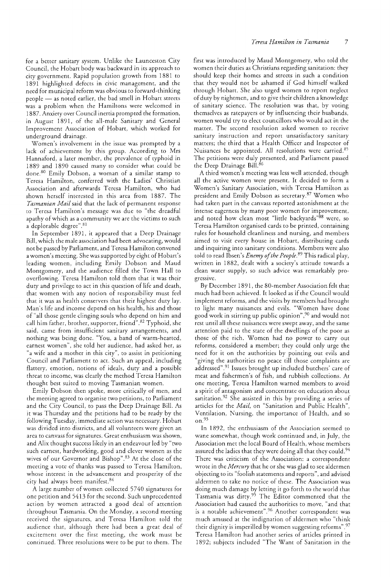for a better sanitary system. Unlike the Launceston City Council, the Hobart body was backward in its approach to city government. Rapid population growth from 1881 to 1891 highlighted defects in civic management, and the need for municipal reform was obvious to forward-thinking people - as noted earlier, the bad smell in Hobart streets was a problem when the Hamiltons were welcomed in 1887. Anxiety over Council inertia prompted the formation, in August 1891, of the all-male Sanitary and General Improvement Association of Hobart, which worked for underground drainage.

Women's involvement in the issue was prompted by a lack of achievement by this group. According to Mrs Hannaford, a later member, the prevalence of typhoid in 1889 and 1890 caused many to consider what could be done.<sup>80</sup> Emily Dobson, a woman of a similar stamp to Teresa Hamilton, conferred with the Ladies' Christian Association and afterwards Teresa Hamilton, who had shown herself interested in this area from 1887. The *Tasmanian Mail* said that the lack of permanent response to Teresa Hamilton's message was due to "the dreadful apathy of which as a community we are the victims to such a deplorable degree". 81

In September 1891, it appeared that a Deep Drainage Bill, which the male association had been advocating, would not be passed by Parliament, and Teresa Hamilton convened a women's meeting. She was supported by eight of Hobart's leading women, including Emily Dobson and Maud Montgomery, and the audience filled the Town Hall to overflowing. Teresa Hamilton told them that it was their duty and privilege to act in this question of life and death, that women with any notion of responsibility must feel that it was as health conservers that their highest duty lay. Man's life and income depend on his health, his and those of "all those gentle clinging souls who depend on him and call him father, brother, supporter, friend".<sup>82</sup> Typhoid, she said, came from insufficient sanitary arrangements, and nothing was being done. "You, a band of warm-hearted, earnest women", she told her audience, had asked her, as "a wife and a mother in this city", to assist in petitioning Council and Parliament to act. Such an appeal, including flattery, emotion, notions of ideals, duty and a possible threat to income, was clearly the method Teresa Hamilton thought best suited to moving Tasmanian women.

Emily Dobson then spoke, more critically of men, and the meeting agreed to organise rwo petitions, to Parliament and the City Council, to pass the Deep Drainage Bill. As it was Thursday and the petitions had to be ready by the following Tuesday, immediate action was necessary. Hobart was divided into districts, and all volunteers were given an area to canvass for signatures. Great enthusiasm was shown, and Alix thought success likely in an endeavour led by"rwo such earnest, hardworking, good and clever women as the wives of our Governor and Bishop".83 At the close of the meeting a vote of thanks was passed to Teresa Hamilton, whose interest in the advancement and prosperity of the city had always been manifest.<sup>84</sup>

A large number of women collected 5740 signatures for one petition and 5413 for the second. Such unprecedented action by women attracted a good deal of attention throughout Tasmania. On the Monday, a second meeting received the signatures, and Teresa Hamilton told the audience that, although there had been a great deal of excitement over the first meeting, the work must be continued. Three resolutions were to be pur ro them. The

first was introduced by Maud Montgomery, who told the women their duties as Christians regarding sanitation: they should keep their homes and streets in such a condition that they would not be ashamed if God himself walked through Hobart. She also urged women to report neglect of duty by nightmen, and to give their children a knowledge of sanitary science. The resolution was that, by voting themselves as ratepayers or by influencing their husbands, women would try to elect councillors who would act in the matter. The second resolution asked women to receive sanitary instruction and report unsatisfactory sanitary matters; the third that a Health Officer and Inspector of Nuisances be appointed. All resolutions were carried.<sup>85</sup> The petitions were duly presented, and Parliament passed the Deep Drainage Bill.<sup>86</sup>

A third women's meeting was less well attended, though all the active women were present. It decided to form a Women's Sanitary Association, with Teresa Hamilton as president and Emily Dobson as secretary.<sup>87</sup> Women who had taken part in the canvass reported astonishment at the intense eagerness by many poor women for improvement, and noted how clean most "little backyards"88 were, so Teresa Hamilton organised cards to be printed, containing rules for household cleanliness and nursing, and members aimed to visit every house in Hobart, distributing cards and inquiring into sanitary conditions. Members were also told to read Ibsen's *Enemy of the People*.<sup>89</sup> This radical play, written in 1882, dealt with a society's attitude towards a clean water supply, so such advice was remarkably progressive.

By December 1891, the 80-member Association felt that much had been achieved. It looked as if the Council would implement reforms, and the visits by members had brought to light many nuisances and evils. "Women have done good work in stirring up public opinion" ,90 and would not rest until all these nuisances were swept away, and the same attention paid to the state of the dwellings of the poor as those of the rich. Women had no power to carry out reforms, considered a member; they could only urge the need for it on the authorities by pointing out evils and "giving the authorities no peace till those complaints are addressed" .91 Issues brought up included butchers' care of meat and fishermen's of fish, and rubbish collections. At one meeting, Teresa Hamilton warned members to avoid a spirit of antagonism and concentrate on education about sanitation.<sup>92</sup> She assisted in this by providing a series of articles for the *Mail,* on "Sanitation and Public Health", Ventilation, Nursing, the importance of Health, and so on. 93

In 1892, the enthusiasm of the Association seemed to wane somewhat, though work continued and, in July, the Association met the local Board of Health, whose members assured the ladies that they were doing all that they could.<sup>94</sup> There was criticism of the Association: a correspondent wrote in the *Mercury* that he or she was glad to see aldermen objecting to its "foolish statements and reports", and advised aldermen to take no notice of these. The Association was doing much damage by letting it go forth to the world that Tasmania was dirty.95 The Editor commented that the Association had caused the authorities to move, "and that is a notable achievement".96 Another correspondent was much amused at the indignation of aldermen who "think their dignity is imperilled by women suggesting reforms". 97 Teresa Hamilton had another series of articles printed in 1892; subjects included "The Want of Sanitation in the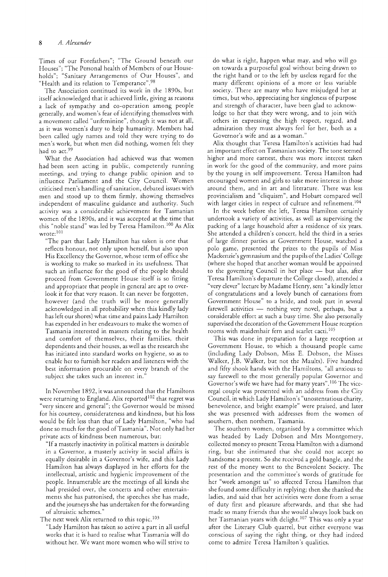Times of our Forefathers"; "The Ground beneath our Houses"; "The Personal health of Members of our Households"; "Sanitary Arrangements of Our Houses", and "Health and its relation to Temperance".98

The Association continued its work in the 1890s, but itself acknowledged that it achieved little, giving as reasons a lack of sympathy and co-operation among people generally, and women's fear of identifying themselves with a movement called "unfeminine", though it was not at all, as it was women's duty to help humanity. Members had been called ugly names and told they were trying to do men's work, but when men did nothing, women felt they had to act.<sup>99</sup>

What the Association had achieved was that women had been seen acting in public, competently running meetings, and rrying to change public opinion and to influence Parliament and the City Council. Women criticised men's handling of sanitation, debated issues with men and stood up to them firmly, showing themselves independent of masculine guidance and authority. Such activity was a considerable achievement for Tasmanian women of the 1890s, and it was accepted at the time that this "noble stand" was led by Teresa Hamilton.<sup>100</sup> As Alix wrote: 101

"The part that Lady Hamilton has taken is one that reflects honour, not only upon herself, but also upon His Excellency the Governor, whose term of office she is working to make so marked in its usefulness. That such an influence for the good of the people should proceed from Government House itself is so fitting and appropriate that people in general are apt to overlook it for that very reason. It can never be forgotten, however (and the truth will be more generally acknowledged in all probability when this kindly lady has left our shores) what time and pains Lady Hamilton has expended in her endeavours ro make the women of Tasmania interested in matters relating to the health and comfort of themselves, their families, their dependents and their houses, as well as the research she has initiated into standard works on hygiene, so as to enable her to furnish her readers and listeners with the best information procurable on every branch of the subject she takes such an interest in.'

In November 1892, it was announced that the Hamiltons were returning to England. Alix reported<sup>102</sup> that regret was "very sincere and general"; the Governor would be missed for his courtesy, considerateness and kindness, but his loss would be felt less than that of Lady Hamilton, "who had done so much for the good of Tasmania" . Not only had her private acts of kindness been numerous, but:

"If a masterly inactivity in political matters is desirable in a Governor, a masterly activity in social affairs is equally desirable in a Governor's wife, and this Lady Hamilton has always displayed in her efforts for the intellectual, artistic and hygienic improvement of the people. Innumerable are the meetings of all kinds she had presided over, the concerts and other entertainments she has patronised, the speeches she has made, and the journeys she has undertaken for the forwarding of altruistic schemes."

The next week Alix returned to this topic.<sup>103</sup>

"Lady Hamilton has taken so active a part in all useful works that it is hard to realise what Tasmania will do without her. We want more women who will strive to

do what is right, happen what may, and who will go on towards a purposeful goal without being drawn to the right hand or to the left by useless regard for the many different opinions of a more or less variable society. There are many who have misjudged her at times, but who, appreciating her singleness of purpose and strength of character, have been glad to acknowledge to her that they were wrong, and to join with others in expressing the high respect, regard, and admiration they must always feel for her, both as a Governor's wife and as a woman."

Alix thought that Teresa Hamilton's activities had had an important effect on Tasmanian society. The tone seemed higher and more earnest, there was more interest taken in work for the good of the community, and more pains by the young in self improvement. Teresa Hamilton had encouraged women and girls to take more interest in those around them, and in art and literature. There was less provincialism and "cliquism", and Hobart compared well with larger cities in respect of culture and refinement.<sup>104</sup>

In the week before she left, Teresa Hamilton certainly undertook a variety of activities, as well as supervising the packing of a large household after a residence of six years. She attended a children's concert, held the third in a series of large dinner parties at Government House, watched a polo game, presented the prizes to the pupils of Miss Mackenzie's gymnasium and the pupils of the Ladies' College (where she hoped that another woman would be appointed to the governing Council in her place  $-$  but alas, after Teresa Hamilton's departure the College closed), attended a "very clever" lecture by Madame Henry, sent "a kindly letter of congratulations and a lovely bunch of carnations from Government House" to a bride, and took part in several farewell activities - nothing very novel, perhaps, but a considerable effort at such a busy time. She also personally supervised the decoration of the Government House reception rooms with maidenhair fern and scarlet cacti.<sup>105</sup>

This was done in preparation for a large reception at Government House, to which a thousand people came (including Lady Dobson, Miss E. Dobson, the Misses Walker, ].B. Walker, but not the Maults). Five hundred and fifty shook hands with the Hamiltons, "all anxious to say farewell to the most generally popular Governor and Governor's wife we have had for many years".106 The viceregal couple was presented with an address from the City Council, in which Lady Hamilton's "unostentatious charity, benevolence, and bright example" were praised, and later she was presented with addresses from the women of southern, then northern, Tasmania.

The southern women, organised by a committee which was headed by Lady Dobson and Mrs Montgomery, collected money to present Teresa Hamilton with a diamond ring, but she intimated that she could not accept so handsome a present. So she received a gold bangle, and the rest of the money went to the Benevolent Society. The presentation and the commitree's words of gratitude for her "work amongst us" so affected Teresa Hamilton that she found some difficulty in replying; then she thanked the ladies, and said that her activities were done from a sense of duty first and pleasure afterwards, and that she had made so many friends that she would always look back on her Tasmanian years with delight.<sup>107</sup> This was only a year after the Literary Club quarrel, but either everyone was conscious of saying the right thing, or they had indeed come to admire Teresa Hamilton's qualities.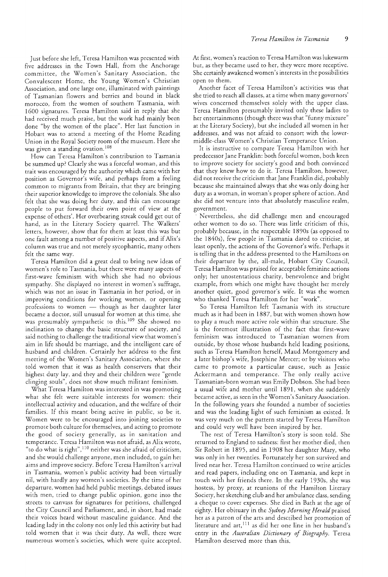Just before she left, Teresa Hamilton was presented with five addresses in the Town Hall, from the Anchorage committee, the Women's Sanitary Association, the Convalescent Home, the Young Women's Christian Association, and one large one, illuminated with paintings of Tasmanian flowers and berries and bound in black morocco, from the women of southern Tasmania, with 1600 signatures. Teresa Hamilton said in reply that she had received much praise, but the work had mainly been done "by the women of the place". Her last function in Hobart was to attend a meeting of the Home Reading Union in the Royal Society room of the museum. Here she was given a standing ovation.<sup>108</sup>

How can Teresa Hamilton's contribution to Tasmania be summed up? Clearly she was a forceful woman, and this trait was encouraged by the authority which came with her position as Governor's wife, and perhaps from a feeling common to migrants from Britain, that they are bringing their superior knowledge to improve the colonials. She also felt that she was doing her duty, and this can encourage people to put forward their own point of view at the expense of others'. Her overbearing streak could get out of hand, as in the Literary Society quarrel. The Walkers' letters, however, show that for them at least this was but one fault among a number of positive aspects, and if Alix's column was true and not merely sycophantic, many others felt the same way.

Teresa Hamilton did a great deal to bring new ideas of women's role to Tasmania, but there were many aspects of first-wave feminism with which she had no obvious sympathy. She displayed no interest in women's suffrage, which was not an issue in Tasmania in her period, or in improving conditions for working women, or opening professions to women - though as her daughter later became a doctor, stili unusual for women at this time, she was presumably sympathetic to this.<sup>109</sup> She showed no inclination to change the basic structure of society, and said nothing to challenge the traditional view that women's aim in life should be marriage, and the intelligent care of husband and children. Certainly her address to the first meeting of the Women's Sanitary Association, where she told women that it was as health conservers that their highest duty lay, and they and their children were "gentle clinging souls", does not show much militant feminism.

What Teresa Hamilton was interested in was promoting what she felt were suitable interests for women: their intellectual activity and education, and the welfare of their families. If this meant being active in public, so be it. Women were to be encouraged into joining societies to promote both culture for themselves, and acting to promote the good of society generally, as in sanitation and temperance. Teresa Hamilton was not afraid, as Alix wrote, "to do what is right", $^{110}$  neither was she afraid of criticism, and she would challenge anyone, men included, to gain her aims and improve society. Before Teresa Hamilton's arrival in Tasmania, women's public activity had been virtually nil, with hardly any women's societies. By the time of her departure, women had held public meetings, debated issues with men, tried to change public opinion, gone into the streets to canvass for signatures for petitions, challenged the City Council and Parliament, and, in shorr, had made their voices heard without masculine guidance. And the leading lady in the colony not only led this activity but had told women that it was their duty. As well, there were numerous women's societies, which were quite accepted. At first, women's reaction to Teresa Hamilton was lukewarm but, as they became used to her, they were more receptive. She certainly awakened women's interests in the possibilities open to them.

Another facet of Teresa Hamilton's activities was that she tried to reach all classes, at a time when many governors' wives concerned themselves solely with the upper class. Teresa Hamilton presumably invited only these ladies to her entertainments (though there was that "funny mixture" at the Literary Society), but she included all women in her addresses, and was not afraid to consort with the lowermiddle-class Women's Christian Temperance Union.

It is instructive to compare Teresa Hamilton with her predecessor Jane Franklin: both forceful women, both keen to improve society for society's good and both convinced that they knew how to do it. Teresa Hamilton, however, did not receive the criticism that Jane Franklin did, probably because she maintained always that she was only doing her duty as a woman, in woman's proper sphere of action. And she did not venture into that absolutely masculine realm, government.

Nevertheless, she did challenge men and encouraged other women to do so. There was little criticism of this, probably because, in the respectable 1890s (as opposed to the 1840s), few people in Tasmania dared to criticise, at least openly, the actions of the Governor's wife. Perhaps it is telling that in the address presented to the Hamiltons on their departure by the, all-male, Hobart City Council, Teresa Hamilton was praised for acceptable feminine actions only; her unostentatious charity, benevolence and bright example, from which one might have thought her merely another quiet, good governor's wife. It was the women who thanked Teresa Hamilton for her "work".

So Teresa Hamilton left Tasmania with its structure much as it had been in 1887, but with women shown how to playa much more active role within that structure. She is the foremost illustration of the fact that first-wave feminism was introduced to Tasmanian women from outside, by those whose husbands held leading positions, such as Teresa Hamilton herself, Maud Montgomery and a later bishop's wife, Josephine Mercer; or by visitors who came to promote a particular cause, such as Jessie Ackermann and temperance. The only really active Tasmanian-born woman was Emily Dobson. She had been a usual wife and mother until 1891, when she suddenly became active, as seen in the Women's Sanitary Association. In the following years she founded a number of societies and was the leading light of such feminism as existed. It was very much on the pattern started by Teresa Hamilton and could very well have been inspired by her.

The rest of Teresa Hamilton's story is soon told. She returned to England to sadness: first her mother died, then Sir Robert in 1895, and in 1908 her daughter Mary, who was only in her twenties. Fortunately her son survived and lived near her. Teresa Hamilton continued to write articles and read papers, including one on Tasmania, and kept in touch with her friends there. In the early 1930s, she was hostess, by proxy, at reunions of the Hamilton Literary Society, her sketching club and her ambulance class, sending a cheque to cover expenses. She died in Bath at the age of eighty. Her obituary in the *Sydney Morning Herald* praised her as a patron of the arts and described her promotion of literature and  $art,$ <sup>111</sup> as did her one line in her husband's entry in the *Australian Dictionary of Biography.* Teresa Hamilton deserved more than this.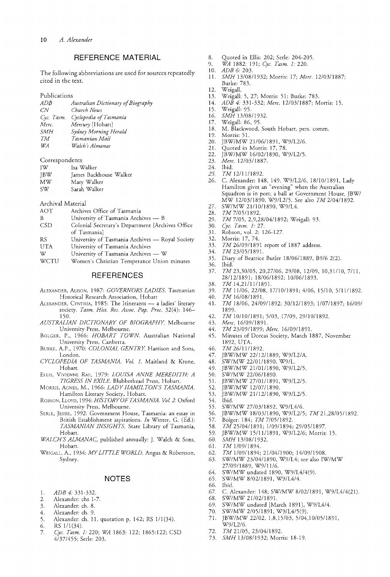# **REFERENCE MATERIAL**

The following abbreviations are used for sources repeatedly cited in the text.

Publications

| ADB        | Australian Dictionary of Biography |
|------------|------------------------------------|
| CN.        | Church News                        |
| Cyc. Tasm. | Cyclopedia of Tasmania             |
| Merc.      | Mercury [Hobart]                   |
| SMH        | Sydney Morning Herald              |
| TМ         | Tasmanian Mail                     |
| WA         | Walch's Almanac                    |

#### Correspondents

| TW.        | Isa Walker             |
|------------|------------------------|
| <b>IBW</b> | James Backhouse Walker |
| МW         | Mary Walker            |
| SW.        | Sarah Walker           |

# Archival Material

- Archives Office of Tasmania
- B University of Tasmania Archives  $-$  B
- CSD Colonial Secretary's Department [Archives Office of Tasmania]
- RS University of Tasmania Archives - Royal Society
- UTA University of Tasmania Archives
- W University of Tasmania Archives - W
- WCTU Women's Christian Temperance Union minutes

## **REFERENCES**

- ALEXANDER, ALISON, 1987: *GOVERNORS LADIES.* Tasmanian Historical Research Association, Hobart
- ALEXANDER, CYNTHIA, 1985: The Itinerants a ladies' literary society. *Tasm. Hist. Res. Assoc. Pap. Proc.* 32(4): 146- 150.
- *AUSTRALIAN DICTIONARY OF BIOGRAPHY*. Melbourne University Press, Melbourne.
- BOLGER, P., 1966: *HOBART TOWN.* Australian National University Press, Canberra.
- BURKE, A.P., 1970: *COLONIAL GENTRY*. Harrison and Sons, London.
- *CYCLOPEDIA OF TASMANIA. Vol.* 1. Maitland & Krone, Hobart.
- ELLIS, VIVIENNE RAE, 1979: *LOUISA ANNE MEREDITH: A TIGRESS IN EXILE.* Blubberhead Press, Hobart.
- MORRIS, AGNES, M., 1966: *LADY HAMILTON'S TASMANIA.*  Hamilton Literary Society, Hobart.
- ROBSON, LLOYD, 1994: *HISTORY OF TASMANIA. Vol* 2. Oxford University Press, Melbourne.
- SERLE, JESSIE, 1992: Government House, Tasmania: an essay in British Establishment aspirations. *In* Winter, G. (Ed.): *TASMANIAN INSIGHTS.* State Library of Tasmania, Hobart.
- *WALCH'S ALMANAC,* published annually: J. Walch & Sons, Hobart.
- WEIGALL, A., 1934: *MY LITTLE WORLD*. Angus & Robertson, Sydney.

## **NOTES**

- I. *ADB* 4: 331-332.
- 2. Alexander: chs 1-7.
- 3. Alexander: ch. 8.
- 4. Alexander: ch. 9.
- 5. Alexander: ch. II, quotation p. 142; RS 111(34).
- 6. RS  $1/1(34)$ .
- *7. Cye. Tasm.* 1: 220; *WA* 1863: 122; 1865:122; CSD 4/37/455; Setle: 203.
- 8. Quoted in Ellis: 202; Serle: 204-205.
- *9. WA* 1882: 191; *Cye. Tasm.* 1: 220.
- *10. ADB* 6: 203.
- **II.** *SMH* 13/0811932; Morris: 17; *Mere. 12/0311887;*  Burke: 783.
- 12. Weigall.<br>13 Weigall
- 13. Weigall: 5, 27; Morris: 51; Burke: 783.<br>14. ADB 4: 331-332: Merc. 12/03/1887: M
- *14. ADB* 4: 331-332; *Mere.* 12/0311887; Morris: 15.
- 15. Weigall: 95.<br>16. SMH 13/08
- *16. SMH* 13/08/1932.<br>17. Weigall: 86. 95.
- 17. Weigall: 86, 95.<br>18 M Blackwood
- M. Blackwood, South Hobart, pers. comm.
- 19. Morris: 51.<br>20. IBW/MW
- 20. JBW/MW 21/06/1891, W9/L2/6.<br>21. Ouoted in Morris: 17.78.
- 21. Quoted in Morris: 17, 78.
- 22. JBW/MW 16/02/1890, W9/L2/5.
- *23. Mere. 12/03/1887.*
- 
- 24. Ibid.<br>25. TM *25. TM 12/11/1892.*
- C. Alexander: 148, 149. W9/L2/6, 18/10/1891, Lady Hamilton gives an "evening" when the Australian Squadron is in port; a ball at Government House, JBW/ MW 12/0311890, W9/L2/5. See also *TM 2/04/1892.*
- 27. SW/MW 21/10/1890, W9/L4.<br>28. TM 7/05/1892.
- *28. TM 7/05/1892.*
- *29. TM* 7/05, 2,9,28/0411 892; Weigall: 93.
- *30. Cye. Tasm.* 1: 27.
- 31. Robson, vol. 2: 126-127.
- 32. Morris: 17, 74.<br>33. TM 26/09/189
- 33. *TM 26/09/1891* report of 1887 address.<br>34. *TM 23/05/1891*
- *34. TM 23/05/1891.*
- 35. Diary of Beatrice Butler 18/0611889, B9/6 2(2).
- 36. Ibid.<br>37. *TM*
- *TM* 23,30/05, 20,27/06, 29/08, 12/09, 10,31/10, 7/11, 28/1211891; 18/0611892; 10/06/1893.
- *38. TM 14,21/1111891.*
- 39. TM 11/06, 22/08, 17/10/1891; 4/06, 15/10, 5/11/1892.<br>40. TM 16/08/1891.
- *40. TM 16/08/1891.*
- *41. TM* 18/06, 24/0911892; 30/1211893; 1/0711897; 16/09/ 1899.
- *42. TM* 1011011891; 5/03, 17/09,2911011892.
- *43. Mere. 16/0911891.*
- *44. TM* 23/0911899; *Mere. 16/0911891.*
- 45. Minutes of Dorcas Society, March 1887, November 1892, UTA.
- *46. TM 26111/1892.*
- 47. JBW/MW 2211211889, W9/L2/A.
- 48. SW/MW 22/01/1890, W9/L.
- 49. JBW/MW 21/0111890, W9/L2/5.
- 50. SW/MW 22/06/1890.<br>51. JBW/MW 27/01/1891
- 51. JBW/MW 27/0111891, W9/L2/5.
- 52. JBW/MW 12/07/1890.
- 53. JBW/MW 21/12/1890, W9/L2/5.<br>54. Ibid.
- Ibid.
- 55. SW/MW 27/03/1892, W9/L4/6.
- 56. JBW/MW 18/0311890, W9/L2/5; *TM 21,28/0511892.*
- 57. Bolger: 184; *TM 7/05/1892.*
- *58. TM* 25/0411891; 1/0911894; 29/0511897.
- 59. JBW/MW 15/11/1891, W9/L2/6; Morris: 15.
- *60. SMH 13/0811932.*
- *61. TM 1/0911894.*
- *62. TM* 1/09/1894; 21/0411900; 14/0911908.
- 63. SW/MW 23/0411890, W9/L4; see also IW/MW 27/0911889, W911 1/6.
- 64. SW/MW undated 1890, W9/L4/4(9).<br>65. SW/MW 8/02/1891, W9/L4/4.
- 65. SW/MW 8/0211891, W9/L4/4.
- 66. Ibid.
- 67. C. Alexander: 148; SW/MW 8/0211891, W9/L4/4(21).
- 68. SW/MW 21/0211891.
- 69. SW/MW undated [March 1891], W9/L4/4.<br>70. SW/MW 2/05/1891, W9/L4/5(9).
- SW/MW 2/05/1891, W9/L4/5(9).

*73. SMH* 13/08/1932; Morris: 18-19.

71. JBW/MW 22/02, 1,8,15/03, 5/04,10/05/1891, W9/L2/6. 72. TM 21/05, 23/04/1892.